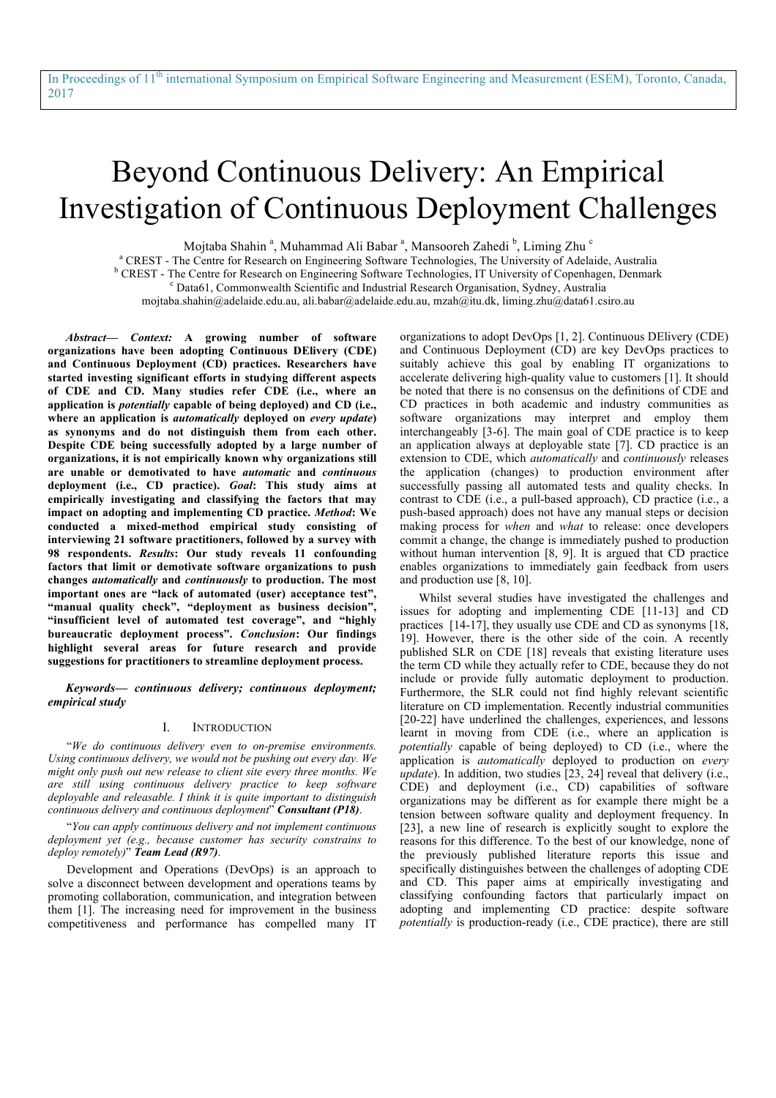# Beyond Continuous Delivery: An Empirical Investigation of Continuous Deployment Challenges

Mojtaba Shahin<sup>a</sup>, Muhammad Ali Babar<sup>a</sup>, Mansooreh Zahedi <sup>b</sup>, Liming Zhu <sup>c</sup>

<sup>a</sup> CREST - The Centre for Research on Engineering Software Technologies, The University of Adelaide, Australia b CREST - The Centre for Research on Engineering Software Technologies, IT University of Copenhagen, Denmark

<sup>c</sup> Data61, Commonwealth Scientific and Industrial Research Organisation, Sydney, Australia

mojtaba.shahin@adelaide.edu.au, ali.babar@adelaide.edu.au, mzah@itu.dk, liming.zhu@data61.csiro.au

*Abstract***—** *Context:* **A growing number of software organizations have been adopting Continuous DElivery (CDE) and Continuous Deployment (CD) practices. Researchers have started investing significant efforts in studying different aspects of CDE and CD. Many studies refer CDE (i.e., where an application is** *potentially* **capable of being deployed) and CD (i.e., where an application is** *automatically* **deployed on** *every update***) as synonyms and do not distinguish them from each other. Despite CDE being successfully adopted by a large number of organizations, it is not empirically known why organizations still are unable or demotivated to have** *automatic* **and** *continuous* **deployment (i.e., CD practice).** *Goal***: This study aims at empirically investigating and classifying the factors that may impact on adopting and implementing CD practice.** *Method***: We conducted a mixed-method empirical study consisting of interviewing 21 software practitioners, followed by a survey with 98 respondents.** *Results***: Our study reveals 11 confounding factors that limit or demotivate software organizations to push changes** *automatically* **and** *continuously* **to production. The most important ones are "lack of automated (user) acceptance test", "manual quality check", "deployment as business decision", "insufficient level of automated test coverage", and "highly bureaucratic deployment process".** *Conclusion***: Our findings highlight several areas for future research and provide suggestions for practitioners to streamline deployment process.**

*Keywords— continuous delivery; continuous deployment; empirical study* 

## I. INTRODUCTION

"*We do continuous delivery even to on-premise environments. Using continuous delivery, we would not be pushing out every day. We might only push out new release to client site every three months. We are still using continuous delivery practice to keep software deployable and releasable. I think it is quite important to distinguish continuous delivery and continuous deployment*" *Consultant (P18)*.

"*You can apply continuous delivery and not implement continuous deployment yet (e.g., because customer has security constrains to deploy remotely)*" *Team Lead (R97)*.

Development and Operations (DevOps) is an approach to solve a disconnect between development and operations teams by promoting collaboration, communication, and integration between them [1]. The increasing need for improvement in the business competitiveness and performance has compelled many IT

organizations to adopt DevOps [1, 2]. Continuous DElivery (CDE) and Continuous Deployment (CD) are key DevOps practices to suitably achieve this goal by enabling IT organizations to accelerate delivering high-quality value to customers [1]. It should be noted that there is no consensus on the definitions of CDE and CD practices in both academic and industry communities as software organizations may interpret and employ them interchangeably [3-6]. The main goal of CDE practice is to keep an application always at deployable state [7]. CD practice is an extension to CDE, which *automatically* and *continuously* releases the application (changes) to production environment after successfully passing all automated tests and quality checks. In contrast to CDE (i.e., a pull-based approach), CD practice (i.e., a push-based approach) does not have any manual steps or decision making process for *when* and *what* to release: once developers commit a change, the change is immediately pushed to production without human intervention [8, 9]. It is argued that CD practice enables organizations to immediately gain feedback from users and production use [8, 10].

Whilst several studies have investigated the challenges and issues for adopting and implementing CDE [11-13] and CD practices [14-17], they usually use CDE and CD as synonyms [18, 19]. However, there is the other side of the coin. A recently published SLR on CDE [18] reveals that existing literature uses the term CD while they actually refer to CDE, because they do not include or provide fully automatic deployment to production. Furthermore, the SLR could not find highly relevant scientific literature on CD implementation. Recently industrial communities [20-22] have underlined the challenges, experiences, and lessons learnt in moving from CDE (i.e., where an application is *potentially* capable of being deployed) to CD (i.e., where the application is *automatically* deployed to production on *every update*). In addition, two studies [23, 24] reveal that delivery (i.e., CDE) and deployment (i.e., CD) capabilities of software organizations may be different as for example there might be a tension between software quality and deployment frequency. In [23], a new line of research is explicitly sought to explore the reasons for this difference. To the best of our knowledge, none of the previously published literature reports this issue and specifically distinguishes between the challenges of adopting CDE and CD. This paper aims at empirically investigating and classifying confounding factors that particularly impact on adopting and implementing CD practice: despite software *potentially* is production-ready (i.e., CDE practice), there are still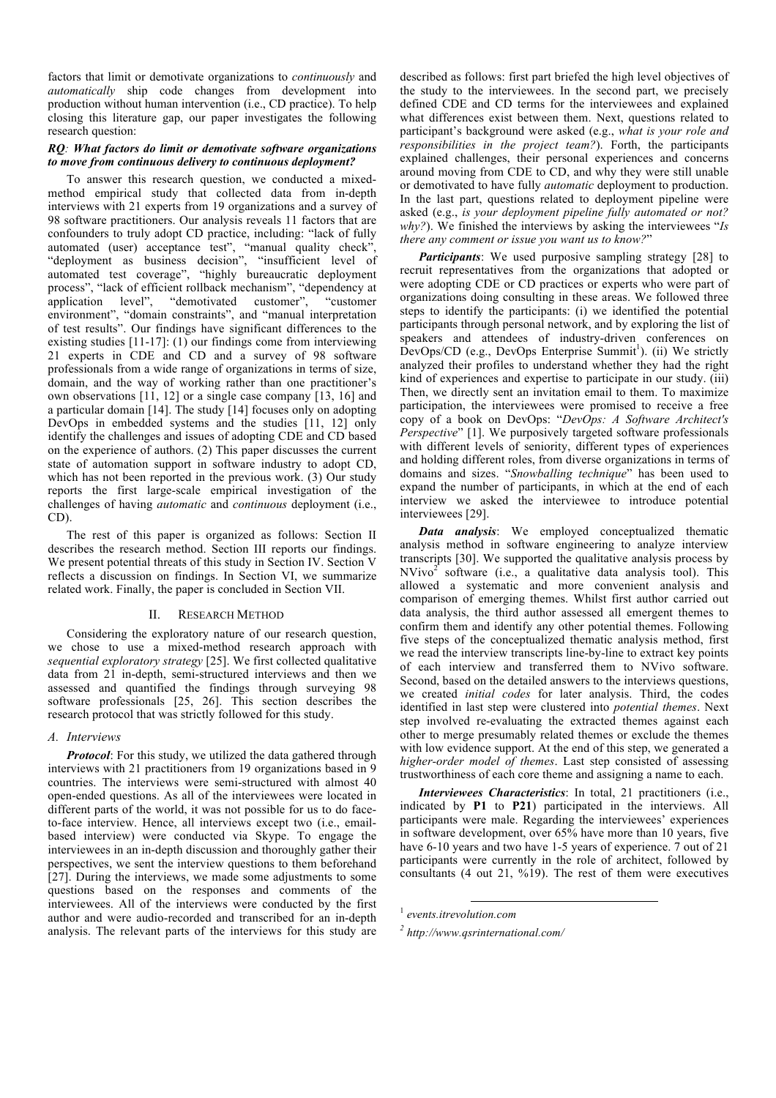factors that limit or demotivate organizations to *continuously* and *automatically* ship code changes from development into production without human intervention (i.e., CD practice). To help closing this literature gap, our paper investigates the following research question:

## *RQ: What factors do limit or demotivate software organizations to move from continuous delivery to continuous deployment?*

To answer this research question, we conducted a mixedmethod empirical study that collected data from in-depth interviews with 21 experts from 19 organizations and a survey of 98 software practitioners. Our analysis reveals 11 factors that are confounders to truly adopt CD practice, including: "lack of fully automated (user) acceptance test", "manual quality check", "deployment as business decision", "insufficient level of automated test coverage", "highly bureaucratic deployment process", "lack of efficient rollback mechanism", "dependency at application level", "demotivated customer", "customer environment", "domain constraints", and "manual interpretation of test results". Our findings have significant differences to the existing studies [11-17]: (1) our findings come from interviewing 21 experts in CDE and CD and a survey of 98 software professionals from a wide range of organizations in terms of size, domain, and the way of working rather than one practitioner's own observations [11, 12] or a single case company [13, 16] and a particular domain [14]. The study [14] focuses only on adopting DevOps in embedded systems and the studies [11, 12] only identify the challenges and issues of adopting CDE and CD based on the experience of authors. (2) This paper discusses the current state of automation support in software industry to adopt CD, which has not been reported in the previous work. (3) Our study reports the first large-scale empirical investigation of the challenges of having *automatic* and *continuous* deployment (i.e., CD).

The rest of this paper is organized as follows: Section II describes the research method. Section III reports our findings. We present potential threats of this study in Section IV. Section V reflects a discussion on findings. In Section VI, we summarize related work. Finally, the paper is concluded in Section VII.

## II. RESEARCH METHOD

Considering the exploratory nature of our research question, we chose to use a mixed-method research approach with *sequential exploratory strategy* [25]. We first collected qualitative data from 21 in-depth, semi-structured interviews and then we assessed and quantified the findings through surveying 98 software professionals [25, 26]. This section describes the research protocol that was strictly followed for this study.

## *A. Interviews*

*Protocol*: For this study, we utilized the data gathered through interviews with 21 practitioners from 19 organizations based in 9 countries. The interviews were semi-structured with almost 40 open-ended questions. As all of the interviewees were located in different parts of the world, it was not possible for us to do faceto-face interview. Hence, all interviews except two (i.e., emailbased interview) were conducted via Skype. To engage the interviewees in an in-depth discussion and thoroughly gather their perspectives, we sent the interview questions to them beforehand [27]. During the interviews, we made some adjustments to some questions based on the responses and comments of the interviewees. All of the interviews were conducted by the first author and were audio-recorded and transcribed for an in-depth analysis. The relevant parts of the interviews for this study are described as follows: first part briefed the high level objectives of the study to the interviewees. In the second part, we precisely defined CDE and CD terms for the interviewees and explained what differences exist between them. Next, questions related to participant's background were asked (e.g., *what is your role and responsibilities in the project team?*). Forth, the participants explained challenges, their personal experiences and concerns around moving from CDE to CD, and why they were still unable or demotivated to have fully *automatic* deployment to production. In the last part, questions related to deployment pipeline were asked (e.g., *is your deployment pipeline fully automated or not? why?*). We finished the interviews by asking the interviewees "*Is there any comment or issue you want us to know?*"

*Participants*: We used purposive sampling strategy [28] to recruit representatives from the organizations that adopted or were adopting CDE or CD practices or experts who were part of organizations doing consulting in these areas. We followed three steps to identify the participants: (i) we identified the potential participants through personal network, and by exploring the list of speakers and attendees of industry-driven conferences on  $\vec{D}$ evOps/CD (e.g., DevOps Enterprise Summit<sup>1</sup>). (ii) We strictly analyzed their profiles to understand whether they had the right kind of experiences and expertise to participate in our study. (iii) Then, we directly sent an invitation email to them. To maximize participation, the interviewees were promised to receive a free copy of a book on DevOps: "*DevOps: A Software Architect's Perspective*" [1]. We purposively targeted software professionals with different levels of seniority, different types of experiences and holding different roles, from diverse organizations in terms of domains and sizes. "*Snowballing technique*" has been used to expand the number of participants, in which at the end of each interview we asked the interviewee to introduce potential interviewees [29].

*Data analysis*: We employed conceptualized thematic analysis method in software engineering to analyze interview transcripts [30]. We supported the qualitative analysis process by  $NVivo<sup>2</sup>$  software (i.e., a qualitative data analysis tool). This allowed a systematic and more convenient analysis and comparison of emerging themes. Whilst first author carried out data analysis, the third author assessed all emergent themes to confirm them and identify any other potential themes. Following five steps of the conceptualized thematic analysis method, first we read the interview transcripts line-by-line to extract key points of each interview and transferred them to NVivo software. Second, based on the detailed answers to the interviews questions, we created *initial codes* for later analysis. Third, the codes identified in last step were clustered into *potential themes*. Next step involved re-evaluating the extracted themes against each other to merge presumably related themes or exclude the themes with low evidence support. At the end of this step, we generated a *higher-order model of themes*. Last step consisted of assessing trustworthiness of each core theme and assigning a name to each.

*Interviewees Characteristics*: In total, 21 practitioners (i.e., indicated by **P1** to **P21**) participated in the interviews. All participants were male. Regarding the interviewees' experiences in software development, over 65% have more than 10 years, five have 6-10 years and two have 1-5 years of experience. 7 out of 21 participants were currently in the role of architect, followed by consultants (4 out 21, %19). The rest of them were executives

 <sup>1</sup> *events.itrevolution.com*

*<sup>2</sup> http://www.qsrinternational.com/*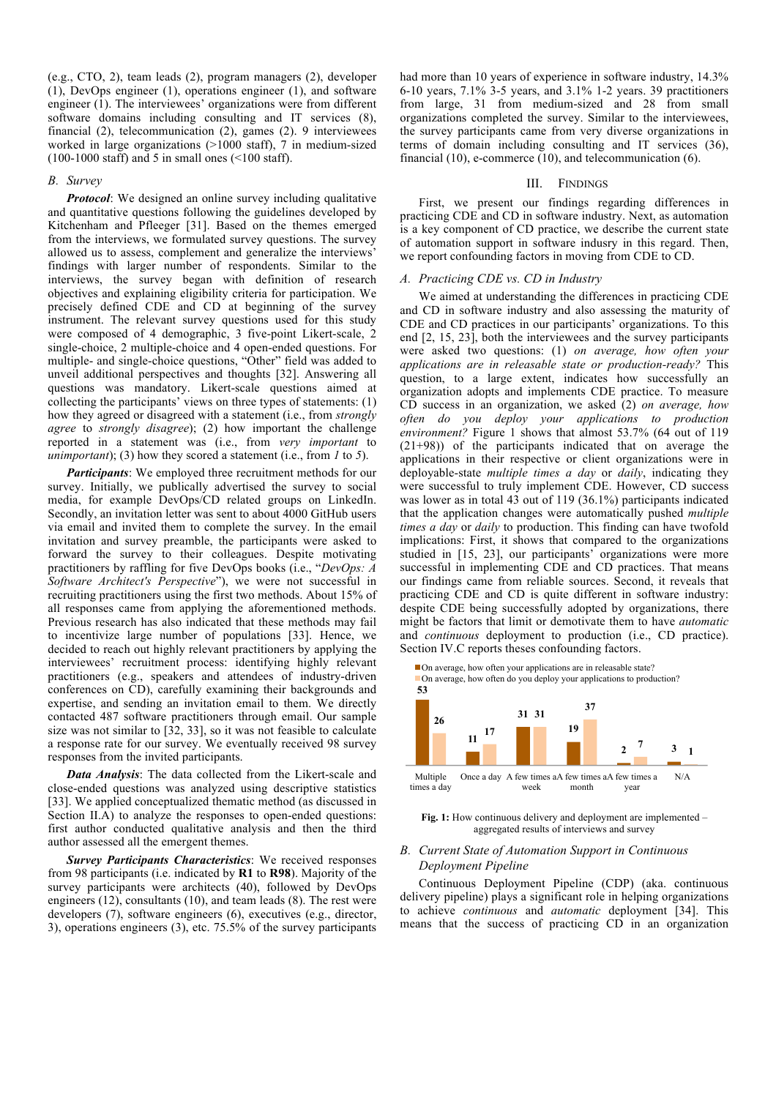(e.g., CTO, 2), team leads (2), program managers (2), developer (1), DevOps engineer (1), operations engineer (1), and software engineer (1). The interviewees' organizations were from different software domains including consulting and IT services (8), financial (2), telecommunication (2), games (2). 9 interviewees worked in large organizations (>1000 staff), 7 in medium-sized (100-1000 staff) and 5 in small ones  $($  100 staff).

#### *B. Survey*

*Protocol*: We designed an online survey including qualitative and quantitative questions following the guidelines developed by Kitchenham and Pfleeger [31]. Based on the themes emerged from the interviews, we formulated survey questions. The survey allowed us to assess, complement and generalize the interviews' findings with larger number of respondents. Similar to the interviews, the survey began with definition of research objectives and explaining eligibility criteria for participation. We precisely defined CDE and CD at beginning of the survey instrument. The relevant survey questions used for this study were composed of 4 demographic, 3 five-point Likert-scale, 2 single-choice, 2 multiple-choice and 4 open-ended questions. For multiple- and single-choice questions, "Other" field was added to unveil additional perspectives and thoughts [32]. Answering all questions was mandatory. Likert-scale questions aimed at collecting the participants' views on three types of statements: (1) how they agreed or disagreed with a statement (i.e., from *strongly agree* to *strongly disagree*); (2) how important the challenge reported in a statement was (i.e., from *very important* to *unimportant*); (3) how they scored a statement (i.e., from *1* to *5*).

*Participants*: We employed three recruitment methods for our survey. Initially, we publically advertised the survey to social media, for example DevOps/CD related groups on LinkedIn. Secondly, an invitation letter was sent to about 4000 GitHub users via email and invited them to complete the survey. In the email invitation and survey preamble, the participants were asked to forward the survey to their colleagues. Despite motivating practitioners by raffling for five DevOps books (i.e., "*DevOps: A Software Architect's Perspective*"), we were not successful in recruiting practitioners using the first two methods. About 15% of all responses came from applying the aforementioned methods. Previous research has also indicated that these methods may fail to incentivize large number of populations [33]. Hence, we decided to reach out highly relevant practitioners by applying the interviewees' recruitment process: identifying highly relevant practitioners (e.g., speakers and attendees of industry-driven conferences on CD), carefully examining their backgrounds and expertise, and sending an invitation email to them. We directly contacted 487 software practitioners through email. Our sample size was not similar to [32, 33], so it was not feasible to calculate a response rate for our survey. We eventually received 98 survey responses from the invited participants.

*Data Analysis*: The data collected from the Likert-scale and close-ended questions was analyzed using descriptive statistics [33]. We applied conceptualized thematic method (as discussed in Section II.A) to analyze the responses to open-ended questions: first author conducted qualitative analysis and then the third author assessed all the emergent themes.

*Survey Participants Characteristics*: We received responses from 98 participants (i.e. indicated by **R1** to **R98**). Majority of the survey participants were architects (40), followed by DevOps engineers (12), consultants (10), and team leads (8). The rest were developers (7), software engineers (6), executives (e.g., director, 3), operations engineers (3), etc. 75.5% of the survey participants had more than 10 years of experience in software industry,  $14.3\%$ 6-10 years, 7.1% 3-5 years, and 3.1% 1-2 years. 39 practitioners from large, 31 from medium-sized and 28 from small organizations completed the survey. Similar to the interviewees, the survey participants came from very diverse organizations in terms of domain including consulting and IT services (36), financial  $(10)$ , e-commerce  $(10)$ , and telecommunication  $(6)$ .

#### III. FINDINGS

First, we present our findings regarding differences in practicing CDE and CD in software industry. Next, as automation is a key component of CD practice, we describe the current state of automation support in software indusry in this regard. Then, we report confounding factors in moving from CDE to CD.

## *A. Practicing CDE vs. CD in Industry*

We aimed at understanding the differences in practicing CDE and CD in software industry and also assessing the maturity of CDE and CD practices in our participants' organizations. To this end [2, 15, 23], both the interviewees and the survey participants were asked two questions: (1) *on average, how often your applications are in releasable state or production-ready?* This question, to a large extent, indicates how successfully an organization adopts and implements CDE practice. To measure CD success in an organization, we asked (2) *on average, how often do you deploy your applications to production environment?* Figure 1 shows that almost 53.7% (64 out of 119 (21+98)) of the participants indicated that on average the applications in their respective or client organizations were in deployable-state *multiple times a day* or *daily*, indicating they were successful to truly implement CDE. However, CD success was lower as in total 43 out of 119 (36.1%) participants indicated that the application changes were automatically pushed *multiple times a day* or *daily* to production. This finding can have twofold implications: First, it shows that compared to the organizations studied in [15, 23], our participants' organizations were more successful in implementing CDE and CD practices. That means our findings came from reliable sources. Second, it reveals that practicing CDE and CD is quite different in software industry: despite CDE being successfully adopted by organizations, there might be factors that limit or demotivate them to have *automatic* and *continuous* deployment to production (i.e., CD practice). Section IV.C reports theses confounding factors.



**Fig. 1:** How continuous delivery and deployment are implemented – aggregated results of interviews and survey

# *B. Current State of Automation Support in Continuous Deployment Pipeline*

Continuous Deployment Pipeline (CDP) (aka. continuous delivery pipeline) plays a significant role in helping organizations to achieve *continuous* and *automatic* deployment [34]. This means that the success of practicing CD in an organization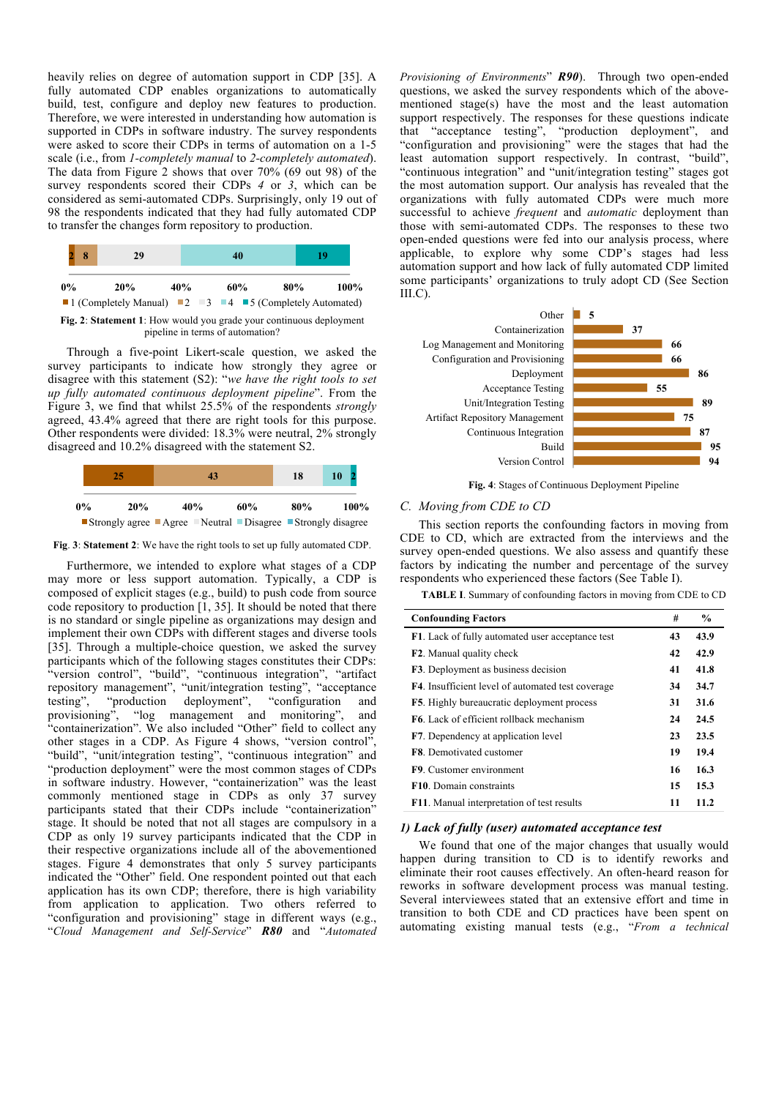heavily relies on degree of automation support in CDP [35]. A fully automated CDP enables organizations to automatically build, test, configure and deploy new features to production. Therefore, we were interested in understanding how automation is supported in CDPs in software industry. The survey respondents were asked to score their CDPs in terms of automation on a 1-5 scale (i.e., from *1-completely manual* to *2-completely automated*). The data from Figure 2 shows that over 70% (69 out 98) of the survey respondents scored their CDPs *4* or *3*, which can be considered as semi-automated CDPs. Surprisingly, only 19 out of 98 the respondents indicated that they had fully automated CDP to transfer the changes form repository to production.



**Fig. 2**: **Statement 1**: How would you grade your continuous deployment pipeline in terms of automation?

Through a five-point Likert-scale question, we asked the survey participants to indicate how strongly they agree or disagree with this statement (S2): "*we have the right tools to set up fully automated continuous deployment pipeline*". From the Figure 3, we find that whilst 25.5% of the respondents *strongly* agreed, 43.4% agreed that there are right tools for this purpose. Other respondents were divided: 18.3% were neutral, 2% strongly disagreed and 10.2% disagreed with the statement S2.



**Fig**. **3**: **Statement 2**: We have the right tools to set up fully automated CDP.

Furthermore, we intended to explore what stages of a CDP may more or less support automation. Typically, a CDP is composed of explicit stages (e.g., build) to push code from source code repository to production [1, 35]. It should be noted that there is no standard or single pipeline as organizations may design and implement their own CDPs with different stages and diverse tools [35]. Through a multiple-choice question, we asked the survey participants which of the following stages constitutes their CDPs: "version control", "build", "continuous integration", "artifact repository management", "unit/integration testing", "acceptance testing", "production deployment", "configuration and provisioning", "log management and monitoring", and "containerization". We also included "Other" field to collect any other stages in a CDP. As Figure 4 shows, "version control", "build", "unit/integration testing", "continuous integration" and "production deployment" were the most common stages of CDPs in software industry. However, "containerization" was the least commonly mentioned stage in CDPs as only 37 survey participants stated that their CDPs include "containerization" stage. It should be noted that not all stages are compulsory in a CDP as only 19 survey participants indicated that the CDP in their respective organizations include all of the abovementioned stages. Figure 4 demonstrates that only 5 survey participants indicated the "Other" field. One respondent pointed out that each application has its own CDP; therefore, there is high variability from application to application. Two others referred to "configuration and provisioning" stage in different ways (e.g., "*Cloud Management and Self-Service*" *R80* and "*Automated* 

*Provisioning of Environments*" *R90*). Through two open-ended questions, we asked the survey respondents which of the abovementioned stage(s) have the most and the least automation support respectively. The responses for these questions indicate that "acceptance testing", "production deployment", and "configuration and provisioning" were the stages that had the least automation support respectively. In contrast, "build", "continuous integration" and "unit/integration testing" stages got the most automation support. Our analysis has revealed that the organizations with fully automated CDPs were much more successful to achieve *frequent* and *automatic* deployment than those with semi-automated CDPs. The responses to these two open-ended questions were fed into our analysis process, where applicable, to explore why some CDP's stages had less automation support and how lack of fully automated CDP limited some participants' organizations to truly adopt CD (See Section  $III.C$ ).



**Fig. 4**: Stages of Continuous Deployment Pipeline

## *C. Moving from CDE to CD*

This section reports the confounding factors in moving from CDE to CD, which are extracted from the interviews and the survey open-ended questions. We also assess and quantify these factors by indicating the number and percentage of the survey respondents who experienced these factors (See Table I).

**TABLE I**. Summary of confounding factors in moving from CDE to CD

| <b>Confounding Factors</b>                               | #  | $\frac{6}{9}$ |
|----------------------------------------------------------|----|---------------|
| F1. Lack of fully automated user acceptance test         | 43 | 43.9          |
| <b>F2.</b> Manual quality check                          | 42 | 42.9          |
| <b>F3</b> . Deployment as business decision              | 41 | 41.8          |
| <b>F4.</b> Insufficient level of automated test coverage | 34 | 34.7          |
| <b>F5.</b> Highly bureaucratic deployment process        | 31 | 31.6          |
| <b>F6</b> Lack of efficient rollback mechanism           | 24 | 24.5          |
| F7. Dependency at application level                      | 23 | 23.5          |
| <b>F8</b> . Demotivated customer                         | 19 | 19.4          |
| F9. Customer environment                                 | 16 | 16.3          |
| <b>F10.</b> Domain constraints                           | 15 | 15.3          |
| F11. Manual interpretation of test results               | 11 | 11.2          |

## *1) Lack of fully (user) automated acceptance test*

We found that one of the major changes that usually would happen during transition to CD is to identify reworks and eliminate their root causes effectively. An often-heard reason for reworks in software development process was manual testing. Several interviewees stated that an extensive effort and time in transition to both CDE and CD practices have been spent on automating existing manual tests (e.g., "*From a technical*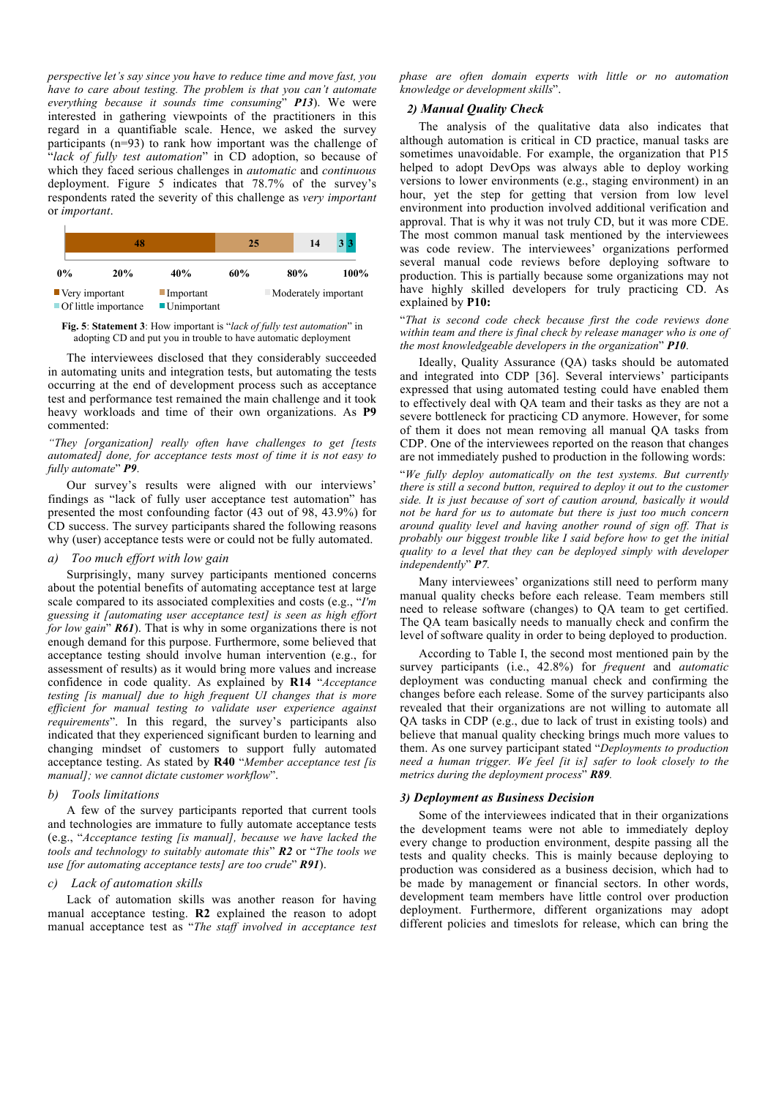*perspective let's say since you have to reduce time and move fast, you have to care about testing. The problem is that you can't automate everything because it sounds time consuming*" *P13*). We were interested in gathering viewpoints of the practitioners in this regard in a quantifiable scale. Hence, we asked the survey participants (n=93) to rank how important was the challenge of "*lack of fully test automation*" in CD adoption, so because of which they faced serious challenges in *automatic* and *continuous* deployment. Figure 5 indicates that 78.7% of the survey's respondents rated the severity of this challenge as *very important* or *important*.



**Fig. 5**: **Statement 3**: How important is "*lack of fully test automation*" in adopting CD and put you in trouble to have automatic deployment

The interviewees disclosed that they considerably succeeded in automating units and integration tests, but automating the tests occurring at the end of development process such as acceptance test and performance test remained the main challenge and it took heavy workloads and time of their own organizations. As **P9** commented:

## *"They [organization] really often have challenges to get [tests automated] done, for acceptance tests most of time it is not easy to fully automate*" *P9*.

Our survey's results were aligned with our interviews' findings as "lack of fully user acceptance test automation" has presented the most confounding factor (43 out of 98, 43.9%) for CD success. The survey participants shared the following reasons why (user) acceptance tests were or could not be fully automated.

## *a) Too much effort with low gain*

Surprisingly, many survey participants mentioned concerns about the potential benefits of automating acceptance test at large scale compared to its associated complexities and costs (e.g., "*I'm guessing it [automating user acceptance test] is seen as high effort for low gain*" *R61*). That is why in some organizations there is not enough demand for this purpose. Furthermore, some believed that acceptance testing should involve human intervention (e.g., for assessment of results) as it would bring more values and increase confidence in code quality. As explained by **R14** "*Acceptance testing [is manual] due to high frequent UI changes that is more efficient for manual testing to validate user experience against requirements*". In this regard, the survey's participants also indicated that they experienced significant burden to learning and changing mindset of customers to support fully automated acceptance testing. As stated by **R40** "*Member acceptance test [is manual]; we cannot dictate customer workflow*".

## *b) Tools limitations*

A few of the survey participants reported that current tools and technologies are immature to fully automate acceptance tests (e.g., "*Acceptance testing [is manual], because we have lacked the tools and technology to suitably automate this*" *R2* or "*The tools we use [for automating acceptance tests] are too crude*" *R91*).

## *c) Lack of automation skills*

Lack of automation skills was another reason for having manual acceptance testing. **R2** explained the reason to adopt manual acceptance test as "*The staff involved in acceptance test*  *phase are often domain experts with little or no automation knowledge or development skills*".

## *2) Manual Quality Check*

The analysis of the qualitative data also indicates that although automation is critical in CD practice, manual tasks are sometimes unavoidable. For example, the organization that P15 helped to adopt DevOps was always able to deploy working versions to lower environments (e.g., staging environment) in an hour, yet the step for getting that version from low level environment into production involved additional verification and approval. That is why it was not truly CD, but it was more CDE. The most common manual task mentioned by the interviewees was code review. The interviewees' organizations performed several manual code reviews before deploying software to production. This is partially because some organizations may not have highly skilled developers for truly practicing CD. As explained by **P10:**

"*That is second code check because first the code reviews done within team and there is final check by release manager who is one of the most knowledgeable developers in the organization*" *P10*.

Ideally, Quality Assurance (QA) tasks should be automated and integrated into CDP [36]. Several interviews' participants expressed that using automated testing could have enabled them to effectively deal with QA team and their tasks as they are not a severe bottleneck for practicing CD anymore. However, for some of them it does not mean removing all manual QA tasks from CDP. One of the interviewees reported on the reason that changes are not immediately pushed to production in the following words:

"*We fully deploy automatically on the test systems. But currently there is still a second button, required to deploy it out to the customer side. It is just because of sort of caution around, basically it would not be hard for us to automate but there is just too much concern around quality level and having another round of sign off. That is probably our biggest trouble like I said before how to get the initial quality to a level that they can be deployed simply with developer independently*" *P7.*

Many interviewees' organizations still need to perform many manual quality checks before each release. Team members still need to release software (changes) to QA team to get certified. The QA team basically needs to manually check and confirm the level of software quality in order to being deployed to production.

According to Table I, the second most mentioned pain by the survey participants (i.e., 42.8%) for *frequent* and *automatic* deployment was conducting manual check and confirming the changes before each release. Some of the survey participants also revealed that their organizations are not willing to automate all QA tasks in CDP (e.g., due to lack of trust in existing tools) and believe that manual quality checking brings much more values to them. As one survey participant stated "*Deployments to production need a human trigger. We feel [it is] safer to look closely to the metrics during the deployment process*" *R89.*

#### *3) Deployment as Business Decision*

Some of the interviewees indicated that in their organizations the development teams were not able to immediately deploy every change to production environment, despite passing all the tests and quality checks. This is mainly because deploying to production was considered as a business decision, which had to be made by management or financial sectors. In other words, development team members have little control over production deployment. Furthermore, different organizations may adopt different policies and timeslots for release, which can bring the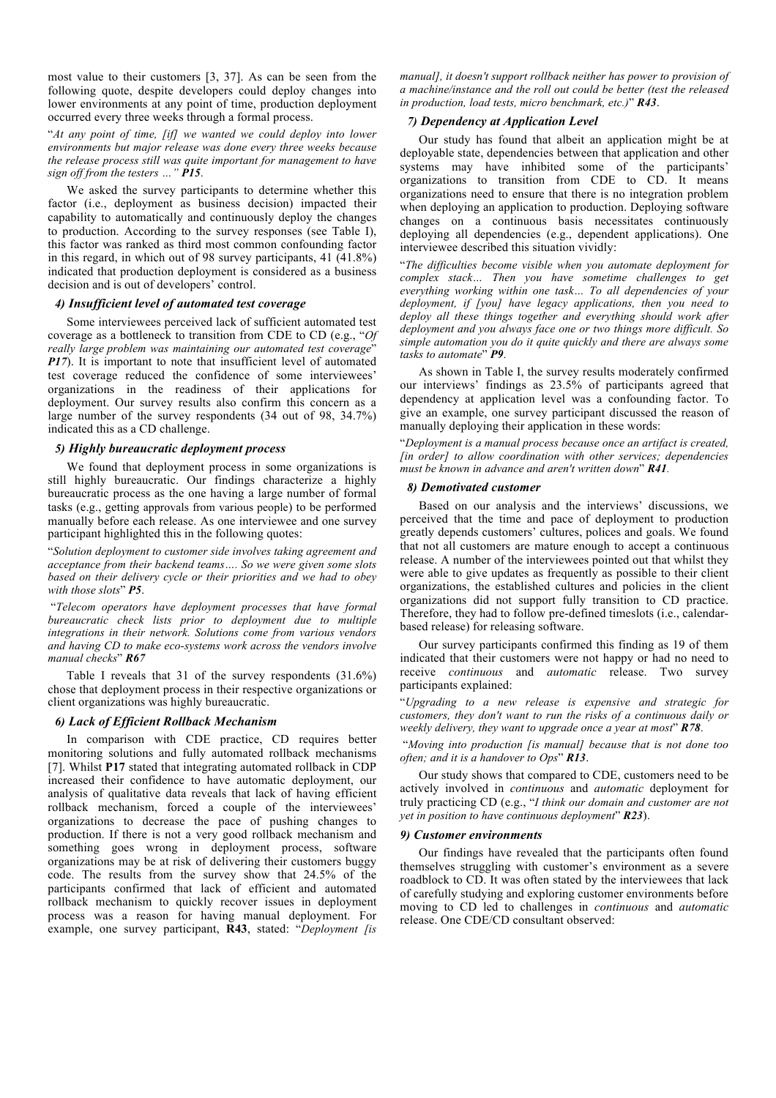most value to their customers [3, 37]. As can be seen from the following quote, despite developers could deploy changes into lower environments at any point of time, production deployment occurred every three weeks through a formal process.

"*At any point of time, [if] we wanted we could deploy into lower environments but major release was done every three weeks because the release process still was quite important for management to have sign off from the testers …" P15*.

We asked the survey participants to determine whether this factor (i.e., deployment as business decision) impacted their capability to automatically and continuously deploy the changes to production. According to the survey responses (see Table I), this factor was ranked as third most common confounding factor in this regard, in which out of 98 survey participants, 41 (41.8%) indicated that production deployment is considered as a business decision and is out of developers' control.

## *4) Insufficient level of automated test coverage*

Some interviewees perceived lack of sufficient automated test coverage as a bottleneck to transition from CDE to CD (e.g., "*Of really large problem was maintaining our automated test coverage*" *P17*). It is important to note that insufficient level of automated test coverage reduced the confidence of some interviewees' organizations in the readiness of their applications for deployment. Our survey results also confirm this concern as a large number of the survey respondents (34 out of 98, 34.7%) indicated this as a CD challenge.

## *5) Highly bureaucratic deployment process*

We found that deployment process in some organizations is still highly bureaucratic. Our findings characterize a highly bureaucratic process as the one having a large number of formal tasks (e.g., getting approvals from various people) to be performed manually before each release. As one interviewee and one survey participant highlighted this in the following quotes:

"*Solution deployment to customer side involves taking agreement and acceptance from their backend teams…. So we were given some slots based on their delivery cycle or their priorities and we had to obey with those slots*" *P5*.

"*Telecom operators have deployment processes that have formal bureaucratic check lists prior to deployment due to multiple integrations in their network. Solutions come from various vendors and having CD to make eco-systems work across the vendors involve manual checks*" *R67*

Table I reveals that 31 of the survey respondents (31.6%) chose that deployment process in their respective organizations or client organizations was highly bureaucratic.

## *6) Lack of Efficient Rollback Mechanism*

In comparison with CDE practice, CD requires better monitoring solutions and fully automated rollback mechanisms [7]. Whilst **P17** stated that integrating automated rollback in CDP increased their confidence to have automatic deployment, our analysis of qualitative data reveals that lack of having efficient rollback mechanism, forced a couple of the interviewees' organizations to decrease the pace of pushing changes to production. If there is not a very good rollback mechanism and something goes wrong in deployment process, software organizations may be at risk of delivering their customers buggy code. The results from the survey show that 24.5% of the participants confirmed that lack of efficient and automated rollback mechanism to quickly recover issues in deployment process was a reason for having manual deployment. For example, one survey participant, **R43**, stated: "*Deployment [is* 

*manual], it doesn't support rollback neither has power to provision of a machine/instance and the roll out could be better (test the released in production, load tests, micro benchmark, etc.)*" *R43*.

## *7) Dependency at Application Level*

Our study has found that albeit an application might be at deployable state, dependencies between that application and other systems may have inhibited some of the participants' organizations to transition from CDE to CD. It means organizations need to ensure that there is no integration problem when deploying an application to production. Deploying software changes on a continuous basis necessitates continuously deploying all dependencies (e.g., dependent applications). One interviewee described this situation vividly:

"*The difficulties become visible when you automate deployment for complex stack… Then you have sometime challenges to get everything working within one task… To all dependencies of your deployment, if [you] have legacy applications, then you need to deploy all these things together and everything should work after deployment and you always face one or two things more difficult. So simple automation you do it quite quickly and there are always some tasks to automate*" *P9*.

As shown in Table I, the survey results moderately confirmed our interviews' findings as 23.5% of participants agreed that dependency at application level was a confounding factor. To give an example, one survey participant discussed the reason of manually deploying their application in these words:

"*Deployment is a manual process because once an artifact is created, [in order] to allow coordination with other services; dependencies must be known in advance and aren't written down*" *R41.*

#### *8) Demotivated customer*

Based on our analysis and the interviews' discussions, we perceived that the time and pace of deployment to production greatly depends customers' cultures, polices and goals. We found that not all customers are mature enough to accept a continuous release. A number of the interviewees pointed out that whilst they were able to give updates as frequently as possible to their client organizations, the established cultures and policies in the client organizations did not support fully transition to CD practice. Therefore, they had to follow pre-defined timeslots (i.e., calendarbased release) for releasing software.

Our survey participants confirmed this finding as 19 of them indicated that their customers were not happy or had no need to receive *continuous* and *automatic* release. Two survey participants explained:

"*Upgrading to a new release is expensive and strategic for customers, they don't want to run the risks of a continuous daily or weekly delivery, they want to upgrade once a year at most*" *R78*.

"*Moving into production [is manual] because that is not done too often; and it is a handover to Ops*" *R13*.

Our study shows that compared to CDE, customers need to be actively involved in *continuous* and *automatic* deployment for truly practicing CD (e.g., "*I think our domain and customer are not yet in position to have continuous deployment*" *R23*).

#### *9) Customer environments*

Our findings have revealed that the participants often found themselves struggling with customer's environment as a severe roadblock to CD. It was often stated by the interviewees that lack of carefully studying and exploring customer environments before moving to CD led to challenges in *continuous* and *automatic* release. One CDE/CD consultant observed: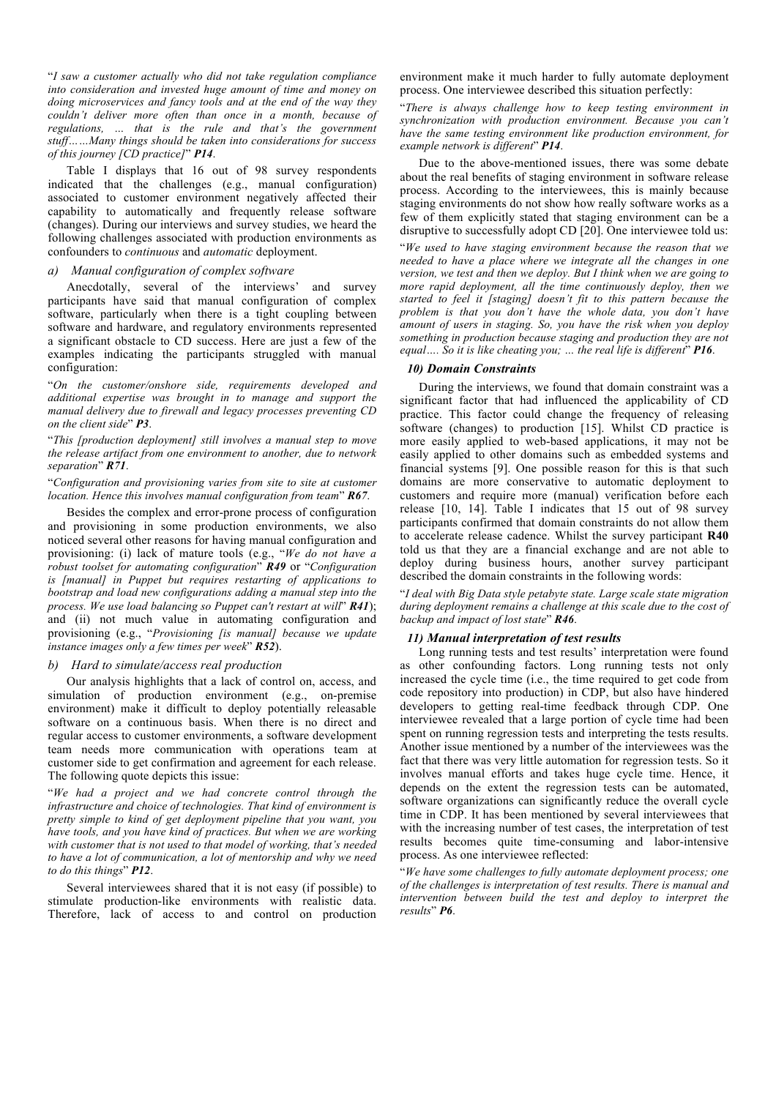"*I saw a customer actually who did not take regulation compliance into consideration and invested huge amount of time and money on doing microservices and fancy tools and at the end of the way they couldn't deliver more often than once in a month, because of regulations, … that is the rule and that's the government stuff……Many things should be taken into considerations for success of this journey [CD practice]*" *P14*.

Table I displays that 16 out of 98 survey respondents indicated that the challenges (e.g., manual configuration) associated to customer environment negatively affected their capability to automatically and frequently release software (changes). During our interviews and survey studies, we heard the following challenges associated with production environments as confounders to *continuous* and *automatic* deployment.

## *a) Manual configuration of complex software*

Anecdotally, several of the interviews' and survey participants have said that manual configuration of complex software, particularly when there is a tight coupling between software and hardware, and regulatory environments represented a significant obstacle to CD success. Here are just a few of the examples indicating the participants struggled with manual configuration:

"*On the customer/onshore side, requirements developed and additional expertise was brought in to manage and support the manual delivery due to firewall and legacy processes preventing CD on the client side*" *P3*.

"*This [production deployment] still involves a manual step to move the release artifact from one environment to another, due to network separation*" *R71*.

"*Configuration and provisioning varies from site to site at customer location. Hence this involves manual configuration from team*" *R67*.

Besides the complex and error-prone process of configuration and provisioning in some production environments, we also noticed several other reasons for having manual configuration and provisioning: (i) lack of mature tools (e.g., "*We do not have a robust toolset for automating configuration*" *R49* or "*Configuration is [manual] in Puppet but requires restarting of applications to bootstrap and load new configurations adding a manual step into the process. We use load balancing so Puppet can't restart at will*" *R41*); and (ii) not much value in automating configuration and provisioning (e.g., "*Provisioning [is manual] because we update instance images only a few times per week*" *R52*).

## *b) Hard to simulate/access real production*

Our analysis highlights that a lack of control on, access, and simulation of production environment (e.g., on-premise environment) make it difficult to deploy potentially releasable software on a continuous basis. When there is no direct and regular access to customer environments, a software development team needs more communication with operations team at customer side to get confirmation and agreement for each release. The following quote depicts this issue:

"*We had a project and we had concrete control through the infrastructure and choice of technologies. That kind of environment is pretty simple to kind of get deployment pipeline that you want, you have tools, and you have kind of practices. But when we are working with customer that is not used to that model of working, that's needed to have a lot of communication, a lot of mentorship and why we need to do this things*" *P12*.

Several interviewees shared that it is not easy (if possible) to stimulate production-like environments with realistic data. Therefore, lack of access to and control on production

environment make it much harder to fully automate deployment process. One interviewee described this situation perfectly:

"*There is always challenge how to keep testing environment in synchronization with production environment. Because you can't have the same testing environment like production environment, for example network is different*" *P14*.

Due to the above-mentioned issues, there was some debate about the real benefits of staging environment in software release process. According to the interviewees, this is mainly because staging environments do not show how really software works as a few of them explicitly stated that staging environment can be a disruptive to successfully adopt CD [20]. One interviewee told us:

"*We used to have staging environment because the reason that we needed to have a place where we integrate all the changes in one version, we test and then we deploy. But I think when we are going to more rapid deployment, all the time continuously deploy, then we started to feel it [staging] doesn't fit to this pattern because the problem is that you don't have the whole data, you don't have amount of users in staging. So, you have the risk when you deploy something in production because staging and production they are not equal…. So it is like cheating you; … the real life is different*" *P16*.

## *10) Domain Constraints*

During the interviews, we found that domain constraint was a significant factor that had influenced the applicability of CD practice. This factor could change the frequency of releasing software (changes) to production [15]. Whilst CD practice is more easily applied to web-based applications, it may not be easily applied to other domains such as embedded systems and financial systems [9]. One possible reason for this is that such domains are more conservative to automatic deployment to customers and require more (manual) verification before each release [10, 14]. Table I indicates that 15 out of 98 survey participants confirmed that domain constraints do not allow them to accelerate release cadence. Whilst the survey participant **R40** told us that they are a financial exchange and are not able to deploy during business hours, another survey participant described the domain constraints in the following words:

"*I deal with Big Data style petabyte state. Large scale state migration during deployment remains a challenge at this scale due to the cost of backup and impact of lost state*" *R46*.

## *11) Manual interpretation of test results*

Long running tests and test results' interpretation were found as other confounding factors. Long running tests not only increased the cycle time (i.e., the time required to get code from code repository into production) in CDP, but also have hindered developers to getting real-time feedback through CDP. One interviewee revealed that a large portion of cycle time had been spent on running regression tests and interpreting the tests results. Another issue mentioned by a number of the interviewees was the fact that there was very little automation for regression tests. So it involves manual efforts and takes huge cycle time. Hence, it depends on the extent the regression tests can be automated, software organizations can significantly reduce the overall cycle time in CDP. It has been mentioned by several interviewees that with the increasing number of test cases, the interpretation of test results becomes quite time-consuming and labor-intensive process. As one interviewee reflected:

"*We have some challenges to fully automate deployment process; one of the challenges is interpretation of test results. There is manual and intervention between build the test and deploy to interpret the results*" *P6*.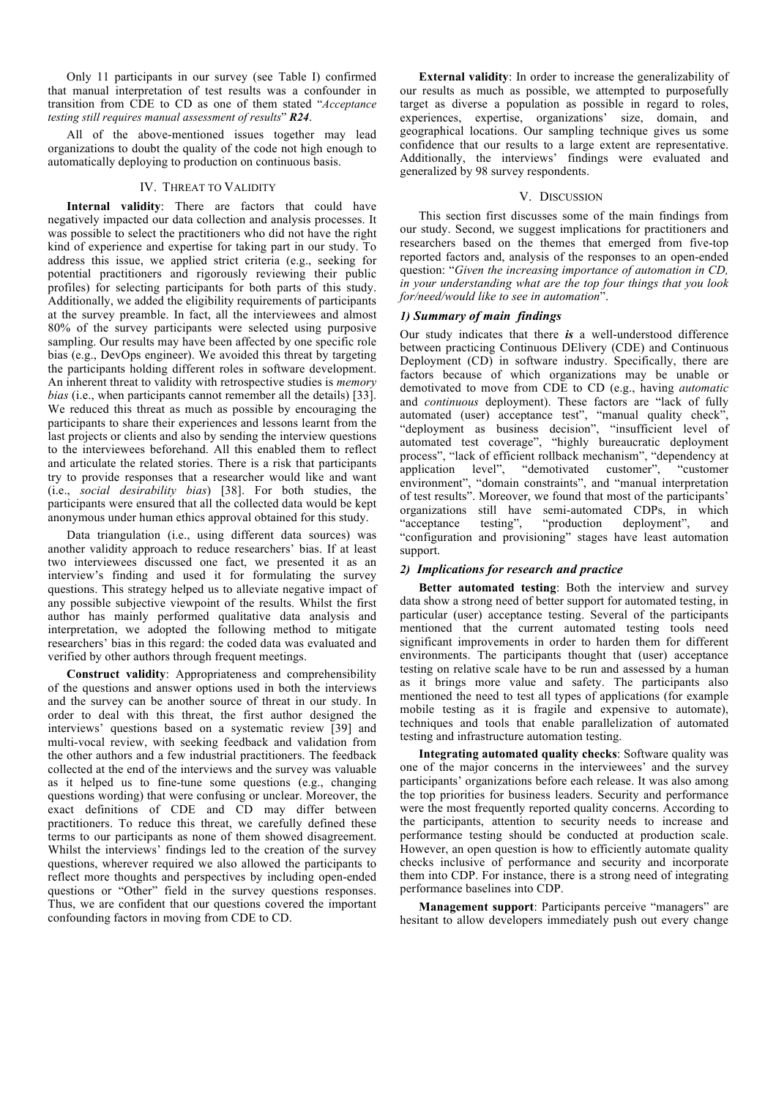Only 11 participants in our survey (see Table I) confirmed that manual interpretation of test results was a confounder in transition from CDE to CD as one of them stated "*Acceptance testing still requires manual assessment of results*" *R24*.

All of the above-mentioned issues together may lead organizations to doubt the quality of the code not high enough to automatically deploying to production on continuous basis.

## IV. THREAT TO VALIDITY

**Internal validity**: There are factors that could have negatively impacted our data collection and analysis processes. It was possible to select the practitioners who did not have the right kind of experience and expertise for taking part in our study. To address this issue, we applied strict criteria (e.g., seeking for potential practitioners and rigorously reviewing their public profiles) for selecting participants for both parts of this study. Additionally, we added the eligibility requirements of participants at the survey preamble. In fact, all the interviewees and almost 80% of the survey participants were selected using purposive sampling. Our results may have been affected by one specific role bias (e.g., DevOps engineer). We avoided this threat by targeting the participants holding different roles in software development. An inherent threat to validity with retrospective studies is *memory bias* (i.e., when participants cannot remember all the details) [33]. We reduced this threat as much as possible by encouraging the participants to share their experiences and lessons learnt from the last projects or clients and also by sending the interview questions to the interviewees beforehand. All this enabled them to reflect and articulate the related stories. There is a risk that participants try to provide responses that a researcher would like and want (i.e., *social desirability bias*) [38]. For both studies, the participants were ensured that all the collected data would be kept anonymous under human ethics approval obtained for this study.

Data triangulation (i.e., using different data sources) was another validity approach to reduce researchers' bias. If at least two interviewees discussed one fact, we presented it as an interview's finding and used it for formulating the survey questions. This strategy helped us to alleviate negative impact of any possible subjective viewpoint of the results. Whilst the first author has mainly performed qualitative data analysis and interpretation, we adopted the following method to mitigate researchers' bias in this regard: the coded data was evaluated and verified by other authors through frequent meetings.

**Construct validity**: Appropriateness and comprehensibility of the questions and answer options used in both the interviews and the survey can be another source of threat in our study. In order to deal with this threat, the first author designed the interviews' questions based on a systematic review [39] and multi-vocal review, with seeking feedback and validation from the other authors and a few industrial practitioners. The feedback collected at the end of the interviews and the survey was valuable as it helped us to fine-tune some questions (e.g., changing questions wording) that were confusing or unclear. Moreover, the exact definitions of CDE and CD may differ between practitioners. To reduce this threat, we carefully defined these terms to our participants as none of them showed disagreement. Whilst the interviews' findings led to the creation of the survey questions, wherever required we also allowed the participants to reflect more thoughts and perspectives by including open-ended questions or "Other" field in the survey questions responses. Thus, we are confident that our questions covered the important confounding factors in moving from CDE to CD.

**External validity**: In order to increase the generalizability of our results as much as possible, we attempted to purposefully target as diverse a population as possible in regard to roles, experiences, expertise, organizations' size, domain, and geographical locations. Our sampling technique gives us some confidence that our results to a large extent are representative. Additionally, the interviews' findings were evaluated and generalized by 98 survey respondents.

#### V. DISCUSSION

This section first discusses some of the main findings from our study. Second, we suggest implications for practitioners and researchers based on the themes that emerged from five-top reported factors and, analysis of the responses to an open-ended question: "*Given the increasing importance of automation in CD, in your understanding what are the top four things that you look for/need/would like to see in automation*".

## *1) Summary of main findings*

Our study indicates that there *is* a well-understood difference between practicing Continuous DElivery (CDE) and Continuous Deployment (CD) in software industry. Specifically, there are factors because of which organizations may be unable or demotivated to move from CDE to CD (e.g., having *automatic* and *continuous* deployment). These factors are "lack of fully automated (user) acceptance test", "manual quality check", "deployment as business decision", "insufficient level of automated test coverage", "highly bureaucratic deployment process", "lack of efficient rollback mechanism", "dependency at application level", "demotivated customer", "customer environment", "domain constraints", and "manual interpretation of test results". Moreover, we found that most of the participants' organizations still have semi-automated CDPs, in which "acceptance testing", "production deployment", and "configuration and provisioning" stages have least automation support.

## *2) Implications for research and practice*

**Better automated testing**: Both the interview and survey data show a strong need of better support for automated testing, in particular (user) acceptance testing. Several of the participants mentioned that the current automated testing tools need significant improvements in order to harden them for different environments. The participants thought that (user) acceptance testing on relative scale have to be run and assessed by a human as it brings more value and safety. The participants also mentioned the need to test all types of applications (for example mobile testing as it is fragile and expensive to automate), techniques and tools that enable parallelization of automated testing and infrastructure automation testing.

**Integrating automated quality checks**: Software quality was one of the major concerns in the interviewees' and the survey participants' organizations before each release. It was also among the top priorities for business leaders. Security and performance were the most frequently reported quality concerns. According to the participants, attention to security needs to increase and performance testing should be conducted at production scale. However, an open question is how to efficiently automate quality checks inclusive of performance and security and incorporate them into CDP. For instance, there is a strong need of integrating performance baselines into CDP.

**Management support**: Participants perceive "managers" are hesitant to allow developers immediately push out every change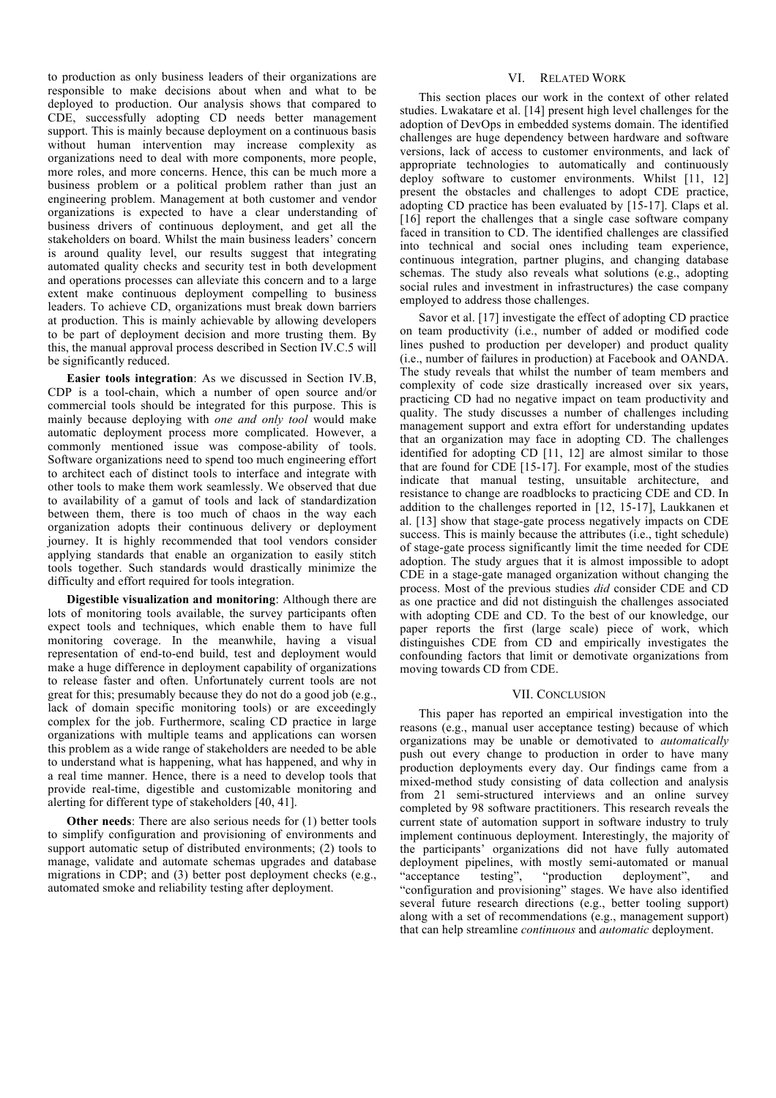to production as only business leaders of their organizations are responsible to make decisions about when and what to be deployed to production. Our analysis shows that compared to CDE, successfully adopting CD needs better management support. This is mainly because deployment on a continuous basis without human intervention may increase complexity as organizations need to deal with more components, more people, more roles, and more concerns. Hence, this can be much more a business problem or a political problem rather than just an engineering problem. Management at both customer and vendor organizations is expected to have a clear understanding of business drivers of continuous deployment, and get all the stakeholders on board. Whilst the main business leaders' concern is around quality level, our results suggest that integrating automated quality checks and security test in both development and operations processes can alleviate this concern and to a large extent make continuous deployment compelling to business leaders. To achieve CD, organizations must break down barriers at production. This is mainly achievable by allowing developers to be part of deployment decision and more trusting them. By this, the manual approval process described in Section IV.C.5 will be significantly reduced.

**Easier tools integration**: As we discussed in Section IV.B, CDP is a tool-chain, which a number of open source and/or commercial tools should be integrated for this purpose. This is mainly because deploying with *one and only tool* would make automatic deployment process more complicated. However, a commonly mentioned issue was compose-ability of tools. Software organizations need to spend too much engineering effort to architect each of distinct tools to interface and integrate with other tools to make them work seamlessly. We observed that due to availability of a gamut of tools and lack of standardization between them, there is too much of chaos in the way each organization adopts their continuous delivery or deployment journey. It is highly recommended that tool vendors consider applying standards that enable an organization to easily stitch tools together. Such standards would drastically minimize the difficulty and effort required for tools integration.

**Digestible visualization and monitoring**: Although there are lots of monitoring tools available, the survey participants often expect tools and techniques, which enable them to have full monitoring coverage. In the meanwhile, having a visual representation of end-to-end build, test and deployment would make a huge difference in deployment capability of organizations to release faster and often. Unfortunately current tools are not great for this; presumably because they do not do a good job (e.g., lack of domain specific monitoring tools) or are exceedingly complex for the job. Furthermore, scaling CD practice in large organizations with multiple teams and applications can worsen this problem as a wide range of stakeholders are needed to be able to understand what is happening, what has happened, and why in a real time manner. Hence, there is a need to develop tools that provide real-time, digestible and customizable monitoring and alerting for different type of stakeholders [40, 41].

**Other needs**: There are also serious needs for (1) better tools to simplify configuration and provisioning of environments and support automatic setup of distributed environments; (2) tools to manage, validate and automate schemas upgrades and database migrations in CDP; and (3) better post deployment checks (e.g., automated smoke and reliability testing after deployment.

## VI. RELATED WORK

This section places our work in the context of other related studies. Lwakatare et al. [14] present high level challenges for the adoption of DevOps in embedded systems domain. The identified challenges are huge dependency between hardware and software versions, lack of access to customer environments, and lack of appropriate technologies to automatically and continuously deploy software to customer environments. Whilst [11, 12] present the obstacles and challenges to adopt CDE practice, adopting CD practice has been evaluated by [15-17]. Claps et al. [16] report the challenges that a single case software company faced in transition to CD. The identified challenges are classified into technical and social ones including team experience, continuous integration, partner plugins, and changing database schemas. The study also reveals what solutions (e.g., adopting social rules and investment in infrastructures) the case company employed to address those challenges.

Savor et al. [17] investigate the effect of adopting CD practice on team productivity (i.e., number of added or modified code lines pushed to production per developer) and product quality (i.e., number of failures in production) at Facebook and OANDA. The study reveals that whilst the number of team members and complexity of code size drastically increased over six years, practicing CD had no negative impact on team productivity and quality. The study discusses a number of challenges including management support and extra effort for understanding updates that an organization may face in adopting CD. The challenges identified for adopting CD [11, 12] are almost similar to those that are found for CDE [15-17]. For example, most of the studies indicate that manual testing, unsuitable architecture, and resistance to change are roadblocks to practicing CDE and CD. In addition to the challenges reported in [12, 15-17], Laukkanen et al. [13] show that stage-gate process negatively impacts on CDE success. This is mainly because the attributes (i.e., tight schedule) of stage-gate process significantly limit the time needed for CDE adoption. The study argues that it is almost impossible to adopt CDE in a stage-gate managed organization without changing the process. Most of the previous studies *did* consider CDE and CD as one practice and did not distinguish the challenges associated with adopting CDE and CD. To the best of our knowledge, our paper reports the first (large scale) piece of work, which distinguishes CDE from CD and empirically investigates the confounding factors that limit or demotivate organizations from moving towards CD from CDE.

## VII. CONCLUSION

This paper has reported an empirical investigation into the reasons (e.g., manual user acceptance testing) because of which organizations may be unable or demotivated to *automatically* push out every change to production in order to have many production deployments every day. Our findings came from a mixed-method study consisting of data collection and analysis from 21 semi-structured interviews and an online survey completed by 98 software practitioners. This research reveals the current state of automation support in software industry to truly implement continuous deployment. Interestingly, the majority of the participants' organizations did not have fully automated deployment pipelines, with mostly semi-automated or manual "acceptance testing", "production deployment", and "acceptance testing", "production deployment", and "configuration and provisioning" stages. We have also identified several future research directions (e.g., better tooling support) along with a set of recommendations (e.g., management support) that can help streamline *continuous* and *automatic* deployment.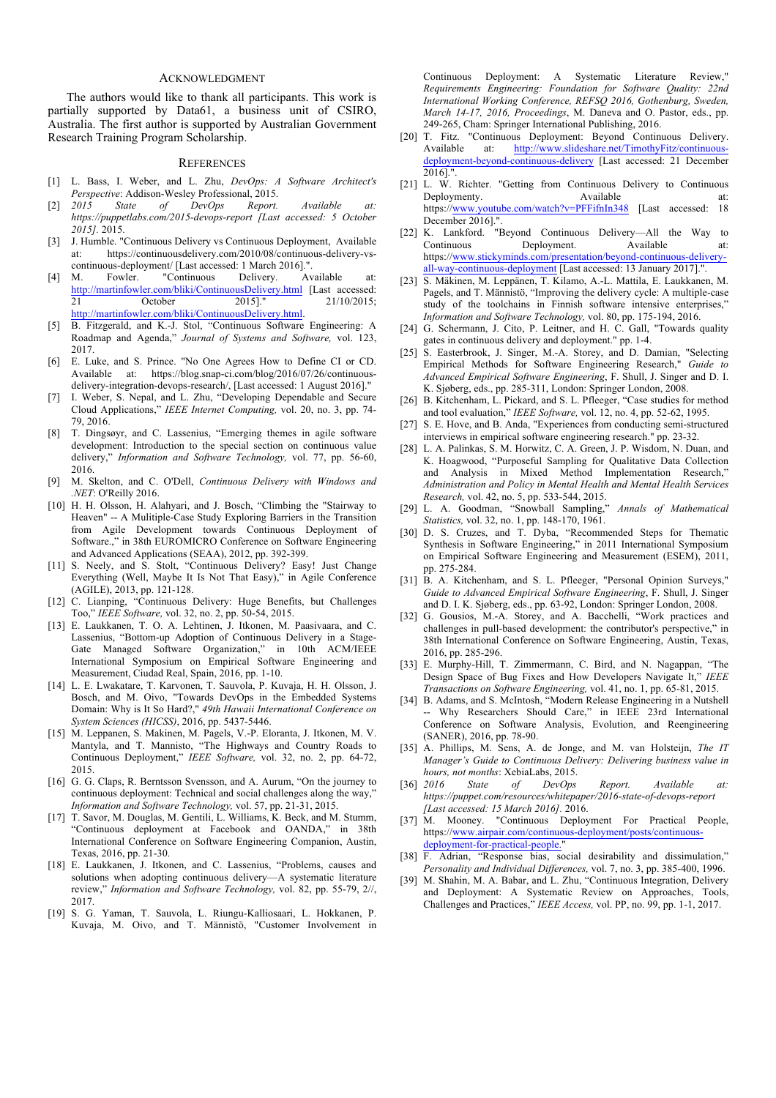## ACKNOWLEDGMENT

The authors would like to thank all participants. This work is partially supported by Data61, a business unit of CSIRO, Australia. The first author is supported by Australian Government Research Training Program Scholarship.

#### **REFERENCES**

- [1] L. Bass, I. Weber, and L. Zhu, *DevOps: A Software Architect's Perspective*: Addison-Wesley Professional, 2015.
- [2] *2015 State of DevOps Report. Available at: https://puppetlabs.com/2015-devops-report [Last accessed: 5 October 2015].* 2015.
- [3] J. Humble. "Continuous Delivery vs Continuous Deployment, Available at: https://continuousdelivery.com/2010/08/continuous-delivery-vscontinuous-deployment/ [Last accessed: 1 March 2016].".
- [4] M. Fowler. "Continuous Delivery. Available at: http://martinfowler.com/bliki/ContinuousDelivery.html [Last accessed: 21 October 2015]." 21/10/2015; http://martinfowler.com/bliki/ContinuousDelivery.html.
- [5] B. Fitzgerald, and K.-J. Stol, "Continuous Software Engineering: A Roadmap and Agenda," *Journal of Systems and Software,* vol. 123, 2017.
- [6] E. Luke, and S. Prince. "No One Agrees How to Define CI or CD. Available at: https://blog.snap-ci.com/blog/2016/07/26/continuousdelivery-integration-devops-research/, [Last accessed: 1 August 2016]."
- [7] I. Weber, S. Nepal, and L. Zhu, "Developing Dependable and Secure Cloud Applications," *IEEE Internet Computing,* vol. 20, no. 3, pp. 74- 79, 2016.
- [8] T. Dingsøyr, and C. Lassenius, "Emerging themes in agile software development: Introduction to the special section on continuous value delivery," *Information and Software Technology,* vol. 77, pp. 56-60, 2016.
- [9] M. Skelton, and C. O'Dell, *Continuous Delivery with Windows and .NET*: O'Reilly 2016.
- [10] H. H. Olsson, H. Alahyari, and J. Bosch, "Climbing the "Stairway to Heaven" -- A Mulitiple-Case Study Exploring Barriers in the Transition from Agile Development towards Continuous Deployment of Software.," in 38th EUROMICRO Conference on Software Engineering and Advanced Applications (SEAA), 2012, pp. 392-399.
- [11] S. Neely, and S. Stolt, "Continuous Delivery? Easy! Just Change Everything (Well, Maybe It Is Not That Easy)," in Agile Conference (AGILE), 2013, pp. 121-128.
- [12] C. Lianping, "Continuous Delivery: Huge Benefits, but Challenges Too," *IEEE Software,* vol. 32, no. 2, pp. 50-54, 2015.
- [13] E. Laukkanen, T. O. A. Lehtinen, J. Itkonen, M. Paasivaara, and C. Lassenius, "Bottom-up Adoption of Continuous Delivery in a Stage-Gate Managed Software Organization," in 10th ACM/IEEE International Symposium on Empirical Software Engineering and Measurement, Ciudad Real, Spain, 2016, pp. 1-10.
- [14] L. E. Lwakatare, T. Karvonen, T. Sauvola, P. Kuvaja, H. H. Olsson, J. Bosch, and M. Oivo, "Towards DevOps in the Embedded Systems Domain: Why is It So Hard?," *49th Hawaii International Conference on System Sciences (HICSS)*, 2016, pp. 5437-5446.
- [15] M. Leppanen, S. Makinen, M. Pagels, V.-P. Eloranta, J. Itkonen, M. V. Mantyla, and T. Mannisto, "The Highways and Country Roads to Continuous Deployment," *IEEE Software,* vol. 32, no. 2, pp. 64-72, 2015.
- [16] G. G. Claps, R. Berntsson Svensson, and A. Aurum, "On the journey to continuous deployment: Technical and social challenges along the way," *Information and Software Technology,* vol. 57, pp. 21-31, 2015.
- [17] T. Savor, M. Douglas, M. Gentili, L. Williams, K. Beck, and M. Stumm, "Continuous deployment at Facebook and OANDA," in 38th International Conference on Software Engineering Companion, Austin, Texas, 2016, pp. 21-30.
- [18] E. Laukkanen, J. Itkonen, and C. Lassenius, "Problems, causes and solutions when adopting continuous delivery—A systematic literature review," *Information and Software Technology,* vol. 82, pp. 55-79, 2//, 2017.
- [19] S. G. Yaman, T. Sauvola, L. Riungu-Kalliosaari, L. Hokkanen, P. Kuvaja, M. Oivo, and T. Männistö, "Customer Involvement in

Continuous Deployment: A Systematic Literature Review," *Requirements Engineering: Foundation for Software Quality: 22nd International Working Conference, REFSQ 2016, Gothenburg, Sweden, March 14-17, 2016, Proceedings*, M. Daneva and O. Pastor, eds., pp. 249-265, Cham: Springer International Publishing, 2016.

- [20] T. Fitz. "Continuous Deployment: Beyond Continuous Delivery. Available at: http://www.slideshare.net/TimothyFitz/continuousdeployment-beyond-continuous-delivery [Last accessed: 21 December 2016].".
- [21] L. W. Richter. "Getting from Continuous Delivery to Continuous Deploymenty. Available at: https://www.youtube.com/watch?v=PFFifnIn348 [Last accessed: 18 December 2016].".
- [22] K. Lankford. "Beyond Continuous Delivery—All the Way to Continuous Deployment. Available at: https://www.stickyminds.com/presentation/beyond-continuous-deliveryall-way-continuous-deployment [Last accessed: 13 January 2017].".
- [23] S. Mäkinen, M. Leppänen, T. Kilamo, A.-L. Mattila, E. Laukkanen, M. Pagels, and T. Männistö, "Improving the delivery cycle: A multiple-case study of the toolchains in Finnish software intensive enterprises,' *Information and Software Technology,* vol. 80, pp. 175-194, 2016.
- [24] G. Schermann, J. Cito, P. Leitner, and H. C. Gall, "Towards quality gates in continuous delivery and deployment." pp. 1-4.
- [25] S. Easterbrook, J. Singer, M.-A. Storey, and D. Damian, "Selecting Empirical Methods for Software Engineering Research," *Guide to Advanced Empirical Software Engineering*, F. Shull, J. Singer and D. I. K. Sjøberg, eds., pp. 285-311, London: Springer London, 2008.
- [26] B. Kitchenham, L. Pickard, and S. L. Pfleeger, "Case studies for method and tool evaluation," *IEEE Software,* vol. 12, no. 4, pp. 52-62, 1995.
- [27] S. E. Hove, and B. Anda, "Experiences from conducting semi-structured interviews in empirical software engineering research." pp. 23-32.
- [28] L. A. Palinkas, S. M. Horwitz, C. A. Green, J. P. Wisdom, N. Duan, and K. Hoagwood, "Purposeful Sampling for Qualitative Data Collection and Analysis in Mixed Method Implementation Research," *Administration and Policy in Mental Health and Mental Health Services Research,* vol. 42, no. 5, pp. 533-544, 2015.
- [29] L. A. Goodman, "Snowball Sampling," *Annals of Mathematical Statistics,* vol. 32, no. 1, pp. 148-170, 1961.
- [30] D. S. Cruzes, and T. Dyba, "Recommended Steps for Thematic Synthesis in Software Engineering," in 2011 International Symposium on Empirical Software Engineering and Measurement (ESEM), 2011, pp. 275-284.
- [31] B. A. Kitchenham, and S. L. Pfleeger, "Personal Opinion Surveys," *Guide to Advanced Empirical Software Engineering*, F. Shull, J. Singer and D. I. K. Sjøberg, eds., pp. 63-92, London: Springer London, 2008.
- [32] G. Gousios, M.-A. Storey, and A. Bacchelli, "Work practices and challenges in pull-based development: the contributor's perspective," in 38th International Conference on Software Engineering, Austin, Texas, 2016, pp. 285-296.
- [33] E. Murphy-Hill, T. Zimmermann, C. Bird, and N. Nagappan, "The Design Space of Bug Fixes and How Developers Navigate It," *IEEE Transactions on Software Engineering,* vol. 41, no. 1, pp. 65-81, 2015.
- [34] B. Adams, and S. McIntosh, "Modern Release Engineering in a Nutshell -- Why Researchers Should Care," in IEEE 23rd International Conference on Software Analysis, Evolution, and Reengineering (SANER), 2016, pp. 78-90.
- [35] A. Phillips, M. Sens, A. de Jonge, and M. van Holsteijn, *The IT Manager's Guide to Continuous Delivery: Delivering business value in hours, not months*: XebiaLabs, 2015.
- [36] *2016 State of DevOps Report. Available at: https://puppet.com/resources/whitepaper/2016-state-of-devops-report [Last accessed: 15 March 2016].* 2016.
- [37] M. Mooney. "Continuous Deployment For Practical People, https://www.airpair.com/continuous-deployment/posts/continuousdeployment-for-practical-people."
- [38] F. Adrian, "Response bias, social desirability and dissimulation," *Personality and Individual Differences,* vol. 7, no. 3, pp. 385-400, 1996.
- [39] M. Shahin, M. A. Babar, and L. Zhu, "Continuous Integration, Delivery and Deployment: A Systematic Review on Approaches, Tools, Challenges and Practices," *IEEE Access,* vol. PP, no. 99, pp. 1-1, 2017.